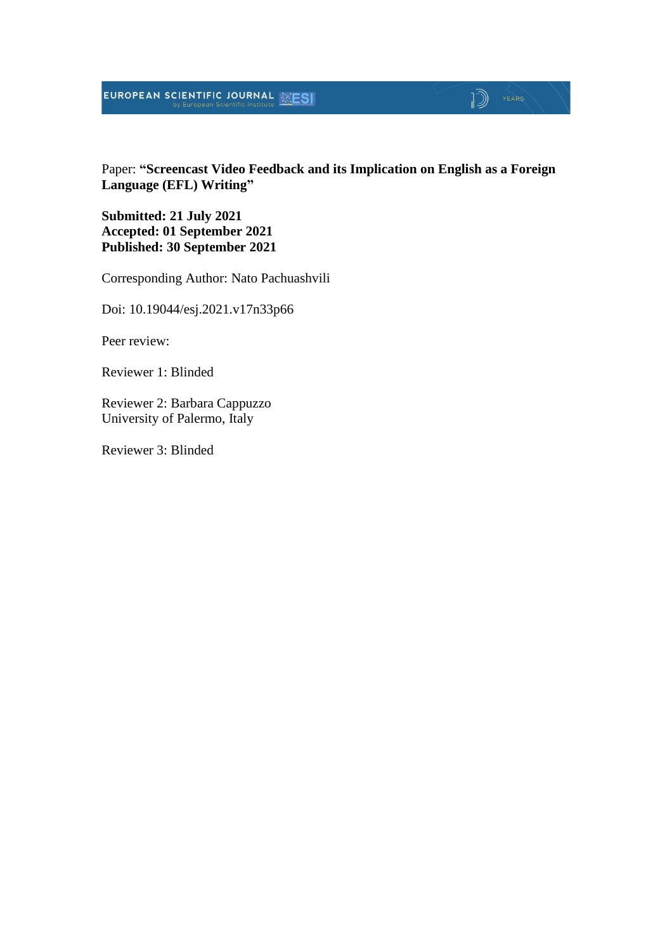# **EUROPEAN SCIENTIFIC JOURNAL EXESI**

# $\mathbb{D}$  | YEARS

Paper: **"Screencast Video Feedback and its Implication on English as a Foreign Language (EFL) Writing"**

**Submitted: 21 July 2021 Accepted: 01 September 2021 Published: 30 September 2021**

Corresponding Author: Nato Pachuashvili

Doi: 10.19044/esj.2021.v17n33p66

Peer review:

Reviewer 1: Blinded

Reviewer 2: Barbara Cappuzzo University of Palermo, Italy

Reviewer 3: Blinded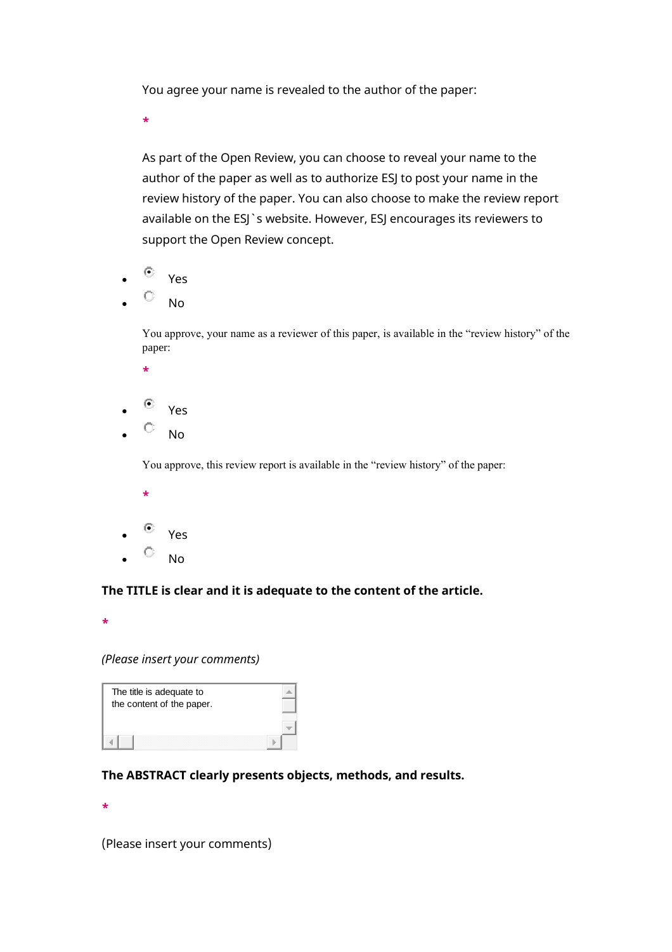You agree your name is revealed to the author of the paper:

**\***

As part of the Open Review, you can choose to reveal your name to the author of the paper as well as to authorize ESJ to post your name in the review history of the paper. You can also choose to make the review report available on the ESJ`s website. However, ESJ encourages its reviewers to support the Open Review concept.

- $^{\circledcirc}$  Yes
- $\circ$  No

You approve, your name as a reviewer of this paper, is available in the "review history" of the paper:

- **\***
- $\circ$  Yes
- $\circ$  No

You approve, this review report is available in the "review history" of the paper:

- **\***
- $^{\circledcirc}$  Yes
- $\circ$  No

#### **The TITLE is clear and it is adequate to the content of the article.**

**\***

#### *(Please insert your comments)*

| The title is adequate to<br>the content of the paper. |  |
|-------------------------------------------------------|--|
|                                                       |  |

#### **The ABSTRACT clearly presents objects, methods, and results.**

**\***

(Please insert your comments)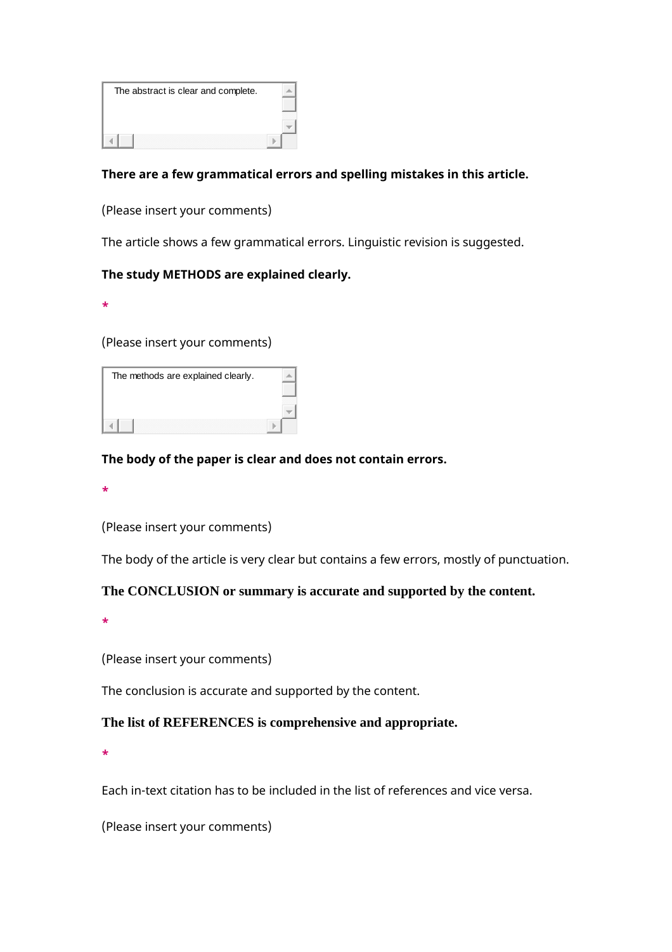| The abstract is clear and complete. |  |
|-------------------------------------|--|
|                                     |  |
|                                     |  |
|                                     |  |

#### **There are a few grammatical errors and spelling mistakes in this article.**

(Please insert your comments)

The article shows a few grammatical errors. Linguistic revision is suggested.

#### **The study METHODS are explained clearly.**

**\***

(Please insert your comments)

| The methods are explained clearly. |  |
|------------------------------------|--|
|                                    |  |
|                                    |  |

#### **The body of the paper is clear and does not contain errors.**

**\***

(Please insert your comments)

The body of the article is very clear but contains a few errors, mostly of punctuation.

#### **The CONCLUSION or summary is accurate and supported by the content.**

**\***

(Please insert your comments)

The conclusion is accurate and supported by the content.

#### **The list of REFERENCES is comprehensive and appropriate.**

**\***

Each in-text citation has to be included in the list of references and vice versa.

(Please insert your comments)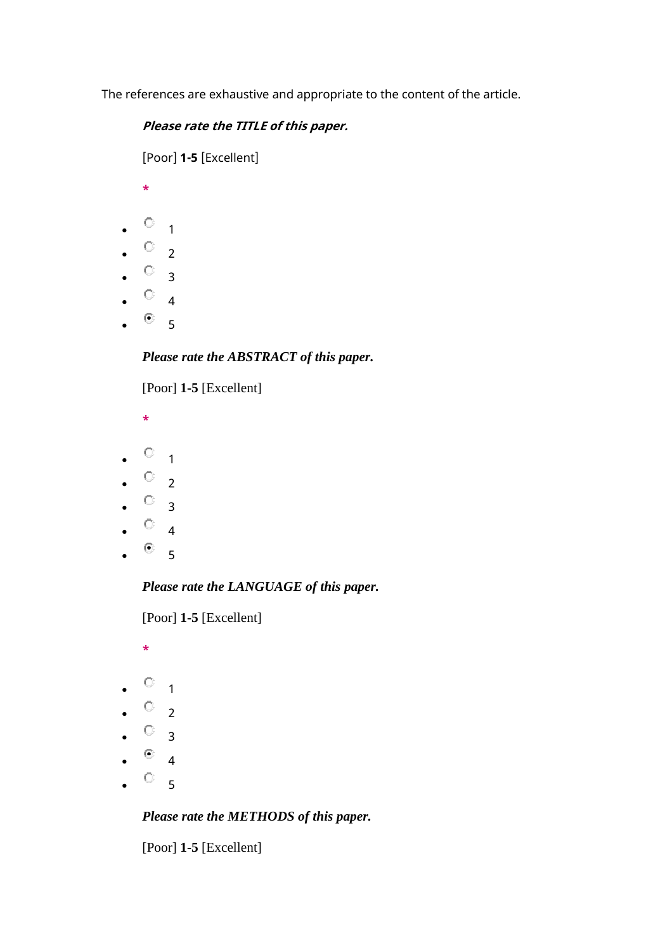The references are exhaustive and appropriate to the content of the article.

#### **Please rate the TITLE of this paper.**

[Poor] **1-5** [Excellent]

- **\***
- $\circ$  1
- $\bullet$   $\circ$  2
- $\bullet$   $\circ$  3
- $\circ$  4
- 
- $\bullet$  5

## *Please rate the ABSTRACT of this paper.*

[Poor] **1-5** [Excellent]

- **\***
- $\circ$  1
- $\bullet$   $\circ$  2
- $\cdot$   $\circ$  3
- $\circ$  4
- $^{\circ}$  5
- 

*Please rate the LANGUAGE of this paper.*

[Poor] **1-5** [Excellent]

**\***

- $\circ$  1
- $\bullet$   $\circ$  2
- $\bullet$   $\circ$   $\circ$
- $^{\circ}$  4
- $\circ$  5

## *Please rate the METHODS of this paper.*

[Poor] **1-5** [Excellent]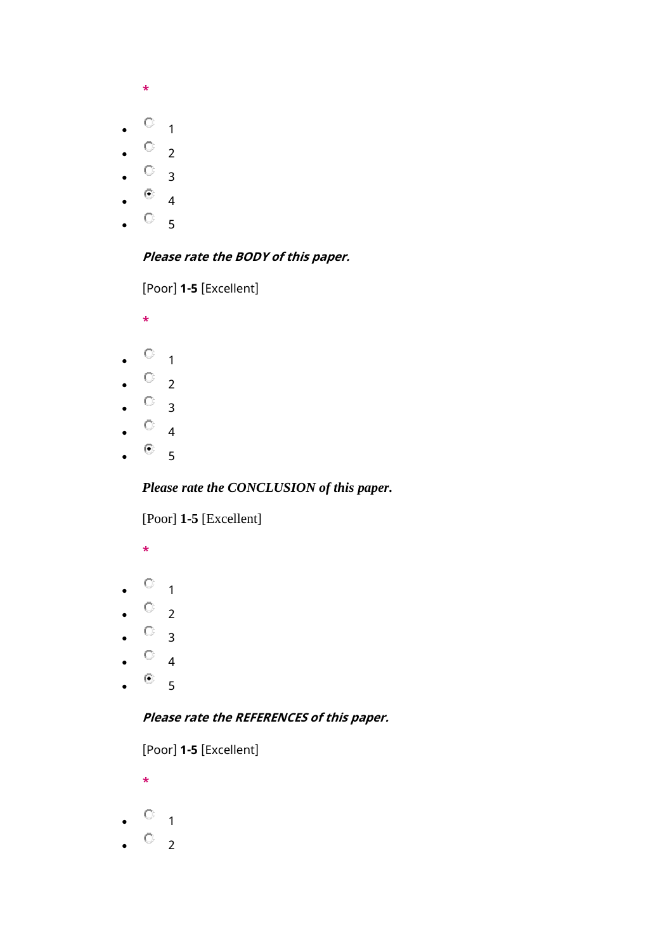- **\***
- $\circ$  1
- $\cdot$   $\circ$  2
- 
- $\circ$  3
- $\circ$  4
- $\circ$  5

## **Please rate the BODY of this paper.**

[Poor] **1-5** [Excellent]

- **\***
- $\bullet$  0 1
- $\bullet$   $\circ$  2
- $\bullet$   $\circ$  3
- $\circ$  4
- 
- $^{\circ}$  5

## *Please rate the CONCLUSION of this paper.*

[Poor] **1-5** [Excellent]

- **\***
- $\bullet$  0 1
- $\circ$  2
- $\circ$  3
- $\circ$  4
- $^{\circ}$  5

## **Please rate the REFERENCES of this paper.**

[Poor] **1-5** [Excellent]

- **\***
- $\circ$  1
- $\circ$  2